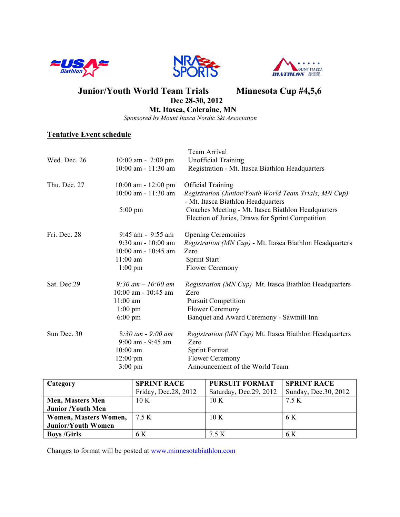





**Junior/Youth World Team Trials Minnesota Cup #4,5,6** 

 **Dec 28-30, 2012**

 **Mt. Itasca, Coleraine, MN**

 *Sponsored by Mount Itasca Nordic Ski Association*

# **Tentative Event schedule**

| Wed. Dec. 26 | $10:00$ am - 2:00 pm<br>10:00 am - 11:30 am                                                               | Team Arrival<br><b>Unofficial Training</b><br>Registration - Mt. Itasca Biathlon Headquarters                                                                                                                                     |
|--------------|-----------------------------------------------------------------------------------------------------------|-----------------------------------------------------------------------------------------------------------------------------------------------------------------------------------------------------------------------------------|
| Thu. Dec. 27 | $10:00$ am - $12:00$ pm<br>$10:00$ am - $11:30$ am<br>$5:00 \text{ pm}$                                   | <b>Official Training</b><br>Registration (Junior/Youth World Team Trials, MN Cup)<br>- Mt. Itasca Biathlon Headquarters<br>Coaches Meeting - Mt. Itasca Biathlon Headquarters<br>Election of Juries, Draws for Sprint Competition |
| Fri. Dec. 28 | $9:45$ am - $9:55$ am<br>9:30 am - 10:00 am<br>$10:00$ am - $10:45$ am<br>$11:00$ am<br>$1:00 \text{ pm}$ | <b>Opening Ceremonies</b><br>Registration (MN Cup) - Mt. Itasca Biathlon Headquarters<br>Zero<br><b>Sprint Start</b><br>Flower Ceremony                                                                                           |
| Sat. Dec.29  | 9:30 am $-10:00$ am<br>$10:00$ am - $10:45$ am<br>$11:00$ am<br>$1:00 \text{ pm}$<br>$6:00 \text{ pm}$    | <i>Registration (MN Cup)</i> Mt. Itasca Biathlon Headquarters<br>Zero<br><b>Pursuit Competition</b><br>Flower Ceremony<br>Banquet and Award Ceremony - Sawmill Inn                                                                |
| Sun Dec. 30  | $8:30$ am - 9:00 am<br>$9:00$ am - $9:45$ am<br>$10:00$ am<br>$12:00 \text{ pm}$<br>$3:00 \text{ pm}$     | Registration (MN Cup) Mt. Itasca Biathlon Headquarters<br>Zero<br>Sprint Format<br><b>Flower Ceremony</b><br>Announcement of the World Team                                                                                       |

| Category                  | <b>SPRINT RACE</b>    | <b>PURSUIT FORMAT</b>   | <b>SPRINT RACE</b>    |
|---------------------------|-----------------------|-------------------------|-----------------------|
|                           | Friday, Dec. 28, 2012 | Saturday, Dec. 29, 2012 | Sunday, Dec. 30, 2012 |
| <b>Men, Masters Men</b>   | 10K                   | 10K                     | 7.5 K                 |
| <b>Junior /Youth Men</b>  |                       |                         |                       |
| Women, Masters Women,     | 75K                   | 10K                     | 6 K                   |
| <b>Junior/Youth Women</b> |                       |                         |                       |
| <b>Boys /Girls</b>        | 6 K                   | 7.5 K                   | 6 K                   |

Changes to format will be posted at www.minnesotabiathlon.com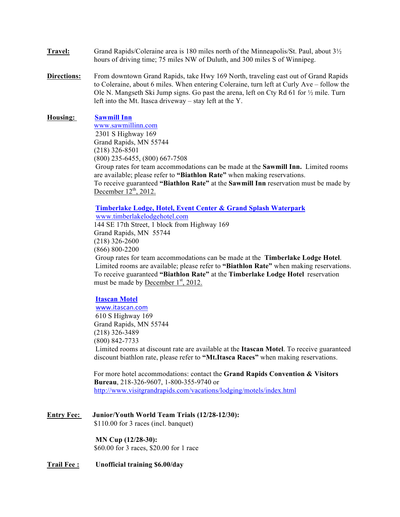- **Travel:** Grand Rapids/Coleraine area is 180 miles north of the Minneapolis/St. Paul, about 3½ hours of driving time; 75 miles NW of Duluth, and 300 miles S of Winnipeg.
- **Directions:** From downtown Grand Rapids, take Hwy 169 North, traveling east out of Grand Rapids to Coleraine, about 6 miles. When entering Coleraine, turn left at Curly Ave – follow the Ole N. Mangseth Ski Jump signs. Go past the arena, left on Cty Rd 61 for ½ mile. Turn left into the Mt. Itasca driveway – stay left at the Y.

#### **Housing: Sawmill Inn**

www.sawmillinn.com 2301 S Highway 169 Grand Rapids, MN 55744 (218) 326-8501 (800) 235-6455, (800) 667-7508 Group rates for team accommodations can be made at the **Sawmill Inn.** Limited rooms are available; please refer to **"Biathlon Rate"** when making reservations. To receive guaranteed **"Biathlon Rate"** at the **Sawmill Inn** reservation must be made by December  $12^{th}$ , 2012.

#### **Timberlake Lodge, Hotel, Event Center & Grand Splash Waterpark**

www.timberlakelodgehotel.com 144 SE 17th Street, 1 block from Highway 169 Grand Rapids, MN 55744 (218) 326-2600 (866) 800-2200

 Group rates for team accommodations can be made at the **Timberlake Lodge Hotel**. Limited rooms are available; please refer to **"Biathlon Rate"** when making reservations. To receive guaranteed **"Biathlon Rate"** at the **Timberlake Lodge Hotel** reservation must be made by December  $1<sup>st</sup>$ , 2012.

### **Itascan Motel**

www.itascan.com 610 S Highway 169 Grand Rapids, MN 55744 (218) 326-3489 (800) 842-7733 Limited rooms at discount rate are available at the **Itascan Motel**. To receive guaranteed discount biathlon rate, please refer to **"Mt.Itasca Races"** when making reservations.

 For more hotel accommodations: contact the **Grand Rapids Convention & Visitors Bureau**, 218-326-9607, 1-800-355-9740 or http://www.visitgrandrapids.com/vacations/lodging/motels/index.html

**Entry Fee: Junior/Youth World Team Trials (12/28-12/30):** \$110.00 for 3 races (incl. banquet)

> **MN Cup (12/28-30):** \$60.00 for 3 races, \$20.00 for 1 race

**Trail Fee : Unofficial training \$6.00/day**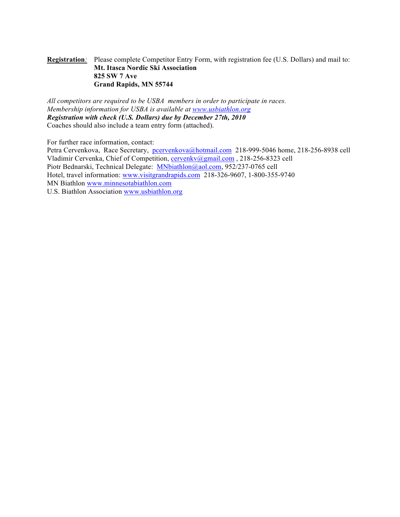### **Registration***:* Please complete Competitor Entry Form, with registration fee (U.S. Dollars) and mail to: **Mt. Itasca Nordic Ski Association 825 SW 7 Ave Grand Rapids, MN 55744**

*All competitors are required to be USBA members in order to participate in races. Membership information for USBA is available at www.usbiathlon.org Registration with check (U.S. Dollars) due by December 27th, 2010*  Coaches should also include a team entry form (attached).

For further race information, contact:

Petra Cervenkova, Race Secretary, pcervenkova@hotmail.com 218-999-5046 home, 218-256-8938 cell Vladimir Cervenka, Chief of Competition, cervenky@gmail.com , 218-256-8323 cell Piotr Bednarski, Technical Delegate: MNbiathlon@aol.com, 952/237-0765 cell Hotel, travel information: www.visitgrandrapids.com 218-326-9607, 1-800-355-9740 MN Biathlon www.minnesotabiathlon.com U.S. Biathlon Association www.usbiathlon.org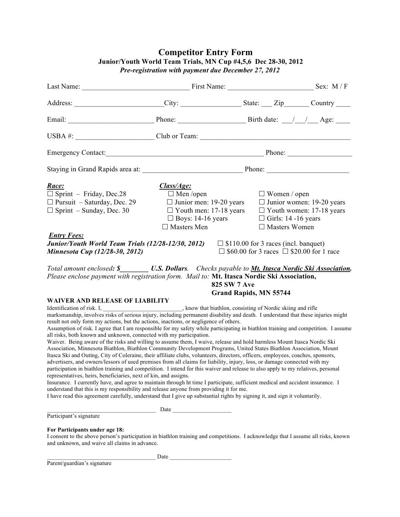|                                                                                                                                                                                                                                                                                                                                                                                                                                                                                                                                                                                                                                                                                                                                                                                                                                                                                                                                                                                                                                                                                                                                                                                                                                                                                                                                                                                                                                  | Last Name: Sex: M/F                                                                                                                                 |                                                                                                                                   |                                                                     |  |
|----------------------------------------------------------------------------------------------------------------------------------------------------------------------------------------------------------------------------------------------------------------------------------------------------------------------------------------------------------------------------------------------------------------------------------------------------------------------------------------------------------------------------------------------------------------------------------------------------------------------------------------------------------------------------------------------------------------------------------------------------------------------------------------------------------------------------------------------------------------------------------------------------------------------------------------------------------------------------------------------------------------------------------------------------------------------------------------------------------------------------------------------------------------------------------------------------------------------------------------------------------------------------------------------------------------------------------------------------------------------------------------------------------------------------------|-----------------------------------------------------------------------------------------------------------------------------------------------------|-----------------------------------------------------------------------------------------------------------------------------------|---------------------------------------------------------------------|--|
| Address: _______________________City: ____________________State: ____Zip_______Country _____________                                                                                                                                                                                                                                                                                                                                                                                                                                                                                                                                                                                                                                                                                                                                                                                                                                                                                                                                                                                                                                                                                                                                                                                                                                                                                                                             |                                                                                                                                                     |                                                                                                                                   |                                                                     |  |
|                                                                                                                                                                                                                                                                                                                                                                                                                                                                                                                                                                                                                                                                                                                                                                                                                                                                                                                                                                                                                                                                                                                                                                                                                                                                                                                                                                                                                                  |                                                                                                                                                     |                                                                                                                                   |                                                                     |  |
|                                                                                                                                                                                                                                                                                                                                                                                                                                                                                                                                                                                                                                                                                                                                                                                                                                                                                                                                                                                                                                                                                                                                                                                                                                                                                                                                                                                                                                  |                                                                                                                                                     |                                                                                                                                   |                                                                     |  |
|                                                                                                                                                                                                                                                                                                                                                                                                                                                                                                                                                                                                                                                                                                                                                                                                                                                                                                                                                                                                                                                                                                                                                                                                                                                                                                                                                                                                                                  |                                                                                                                                                     |                                                                                                                                   |                                                                     |  |
|                                                                                                                                                                                                                                                                                                                                                                                                                                                                                                                                                                                                                                                                                                                                                                                                                                                                                                                                                                                                                                                                                                                                                                                                                                                                                                                                                                                                                                  |                                                                                                                                                     |                                                                                                                                   |                                                                     |  |
| Race:<br>$\Box$ Sprint – Friday, Dec.28<br>$\Box$ Pursuit – Saturday, Dec. 29<br>$\Box$ Sprint – Sunday, Dec. 30<br><b>Entry Fees:</b><br><b>Junior/Youth World Team Trials (12/28-12/30, 2012)</b> $\Box$ \$110.00 for 3 races (incl. banquet)<br>Minnesota Cup (12/28-30, 2012)                                                                                                                                                                                                                                                                                                                                                                                                                                                                                                                                                                                                                                                                                                                                                                                                                                                                                                                                                                                                                                                                                                                                                | Class/Age:<br>$\Box$ Men /open<br>$\Box$ Junior men: 19-20 years<br>$\Box$ Youth men: 17-18 years<br>$\Box$ Boys: 14-16 years<br>$\Box$ Masters Men | $\Box$ Women / open<br>$\Box$ Girls: 14 -16 years<br>$\Box$ Masters Women<br>$\Box$ \$60.00 for 3 races $\Box$ \$20.00 for 1 race | $\Box$ Junior women: 19-20 years<br>$\Box$ Youth women: 17-18 years |  |
| Total amount enclosed: \$__________ U.S. Dollars. Checks payable to Mt. Itasca Nordic Ski Association.<br>Please enclose payment with registration form. Mail to: Mt. Itasca Nordic Ski Association,                                                                                                                                                                                                                                                                                                                                                                                                                                                                                                                                                                                                                                                                                                                                                                                                                                                                                                                                                                                                                                                                                                                                                                                                                             | <b>825 SW 7 Ave</b>                                                                                                                                 | <b>Grand Rapids, MN 55744</b>                                                                                                     |                                                                     |  |
| <b>WAIVER AND RELEASE OF LIABILITY</b><br>result not only form my actions, but the actions, inactions, or negligence of others.<br>Assumption of risk. I agree that I am responsible for my safety while participating in biathlon training and competition. I assume<br>all risks, both known and unknown, connected with my participation.<br>Waiver. Being aware of the risks and willing to assume them, I waive, release and hold harmless Mount Itasca Nordic Ski<br>Association, Minnesota Biathlon, Biathlon Community Development Programs, United States Biathlon Association, Mount<br>Itasca Ski and Outing, City of Coleraine, their affiliate clubs, volunteers, directors, officers, employees, coaches, sponsors,<br>advertisers, and owners/lessors of used premises from all claims for liability, injury, loss, or damage connected with my<br>participation in biathlon training and competition. I intend for this waiver and release to also apply to my relatives, personal<br>representatives, heirs, beneficiaries, next of kin, and assigns.<br>Insurance. I currently have, and agree to maintain through ht time I participate, sufficient medical and accident insurance. I<br>understand that this is my responsibility and release anyone from providing it for me.<br>I have read this agreement carefully, understand that I give up substantial rights by signing it, and sign it voluntarily. |                                                                                                                                                     |                                                                                                                                   |                                                                     |  |
| Participant's signature                                                                                                                                                                                                                                                                                                                                                                                                                                                                                                                                                                                                                                                                                                                                                                                                                                                                                                                                                                                                                                                                                                                                                                                                                                                                                                                                                                                                          |                                                                                                                                                     |                                                                                                                                   |                                                                     |  |
| For Participants under age 18:<br>I consent to the above person's participation in biathlon training and competitions. I acknowledge that I assume all risks, known<br>and unknown, and waive all claims in advance.                                                                                                                                                                                                                                                                                                                                                                                                                                                                                                                                                                                                                                                                                                                                                                                                                                                                                                                                                                                                                                                                                                                                                                                                             |                                                                                                                                                     |                                                                                                                                   |                                                                     |  |
| Parent/guardian's signature                                                                                                                                                                                                                                                                                                                                                                                                                                                                                                                                                                                                                                                                                                                                                                                                                                                                                                                                                                                                                                                                                                                                                                                                                                                                                                                                                                                                      | $\qquad \qquad \text{Date}$                                                                                                                         |                                                                                                                                   |                                                                     |  |

 **Competitor Entry Form Junior/Youth World Team Trials, MN Cup #4,5,6 Dec 28-30, 2012** *Pre-registration with payment due December 27, 2012*